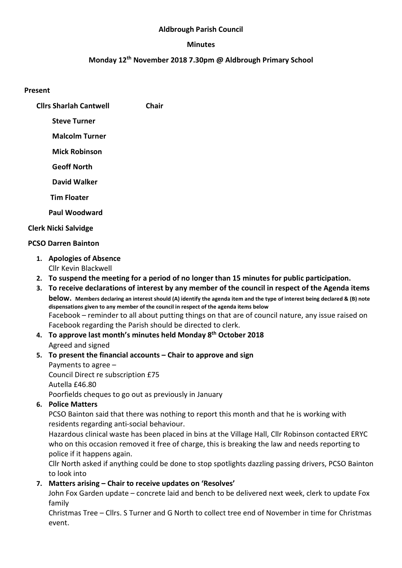#### Aldbrough Parish Council

#### Minutes

### Monday 12th November 2018 7.30pm @ Aldbrough Primary School

#### Present

- Cllrs Sharlah Cantwell Chair
	- Steve Turner
	- Malcolm Turner
	- Mick Robinson
	- Geoff North
	- David Walker
	- Tim Floater
	- Paul Woodward

# Clerk Nicki Salvidge

## PCSO Darren Bainton

1. Apologies of Absence

Cllr Kevin Blackwell

- 2. To suspend the meeting for a period of no longer than 15 minutes for public participation.
- 3. To receive declarations of interest by any member of the council in respect of the Agenda items below. Members declaring an interest should (A) identify the agenda item and the type of interest being declared & (B) note dispensations given to any member of the council in respect of the agenda items below Facebook – reminder to all about putting things on that are of council nature, any issue raised on Facebook regarding the Parish should be directed to clerk.
- 4. To approve last month's minutes held Monday 8<sup>th</sup> October 2018 Agreed and signed
- 5. To present the financial accounts Chair to approve and sign Payments to agree – Council Direct re subscription £75 Autella £46.80

Poorfields cheques to go out as previously in January

6. Police Matters

PCSO Bainton said that there was nothing to report this month and that he is working with residents regarding anti-social behaviour.

Hazardous clinical waste has been placed in bins at the Village Hall, Cllr Robinson contacted ERYC who on this occasion removed it free of charge, this is breaking the law and needs reporting to police if it happens again.

Cllr North asked if anything could be done to stop spotlights dazzling passing drivers, PCSO Bainton to look into

# 7. Matters arising – Chair to receive updates on 'Resolves'

John Fox Garden update – concrete laid and bench to be delivered next week, clerk to update Fox family

Christmas Tree – Cllrs. S Turner and G North to collect tree end of November in time for Christmas event.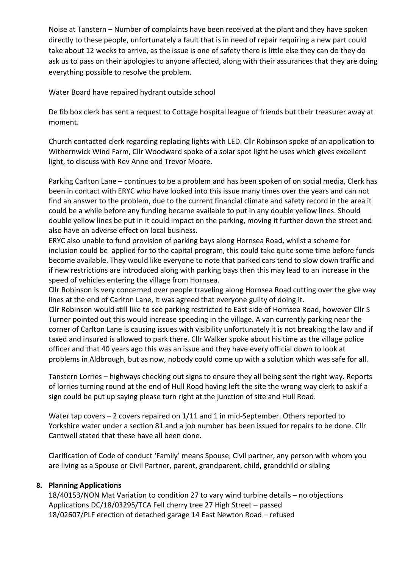Noise at Tanstern – Number of complaints have been received at the plant and they have spoken directly to these people, unfortunately a fault that is in need of repair requiring a new part could take about 12 weeks to arrive, as the issue is one of safety there is little else they can do they do ask us to pass on their apologies to anyone affected, along with their assurances that they are doing everything possible to resolve the problem.

Water Board have repaired hydrant outside school

De fib box clerk has sent a request to Cottage hospital league of friends but their treasurer away at moment.

Church contacted clerk regarding replacing lights with LED. Cllr Robinson spoke of an application to Withernwick Wind Farm, Cllr Woodward spoke of a solar spot light he uses which gives excellent light, to discuss with Rev Anne and Trevor Moore.

Parking Carlton Lane – continues to be a problem and has been spoken of on social media, Clerk has been in contact with ERYC who have looked into this issue many times over the years and can not find an answer to the problem, due to the current financial climate and safety record in the area it could be a while before any funding became available to put in any double yellow lines. Should double yellow lines be put in it could impact on the parking, moving it further down the street and also have an adverse effect on local business.

ERYC also unable to fund provision of parking bays along Hornsea Road, whilst a scheme for inclusion could be applied for to the capital program, this could take quite some time before funds become available. They would like everyone to note that parked cars tend to slow down traffic and if new restrictions are introduced along with parking bays then this may lead to an increase in the speed of vehicles entering the village from Hornsea.

Cllr Robinson is very concerned over people traveling along Hornsea Road cutting over the give way lines at the end of Carlton Lane, it was agreed that everyone guilty of doing it.

Cllr Robinson would still like to see parking restricted to East side of Hornsea Road, however Cllr S Turner pointed out this would increase speeding in the village. A van currently parking near the corner of Carlton Lane is causing issues with visibility unfortunately it is not breaking the law and if taxed and insured is allowed to park there. Cllr Walker spoke about his time as the village police officer and that 40 years ago this was an issue and they have every official down to look at problems in Aldbrough, but as now, nobody could come up with a solution which was safe for all.

Tanstern Lorries – highways checking out signs to ensure they all being sent the right way. Reports of lorries turning round at the end of Hull Road having left the site the wrong way clerk to ask if a sign could be put up saying please turn right at the junction of site and Hull Road.

Water tap covers – 2 covers repaired on 1/11 and 1 in mid-September. Others reported to Yorkshire water under a section 81 and a job number has been issued for repairs to be done. Cllr Cantwell stated that these have all been done.

Clarification of Code of conduct 'Family' means Spouse, Civil partner, any person with whom you are living as a Spouse or Civil Partner, parent, grandparent, child, grandchild or sibling

### 8. Planning Applications

18/40153/NON Mat Variation to condition 27 to vary wind turbine details – no objections Applications DC/18/03295/TCA Fell cherry tree 27 High Street – passed 18/02607/PLF erection of detached garage 14 East Newton Road – refused